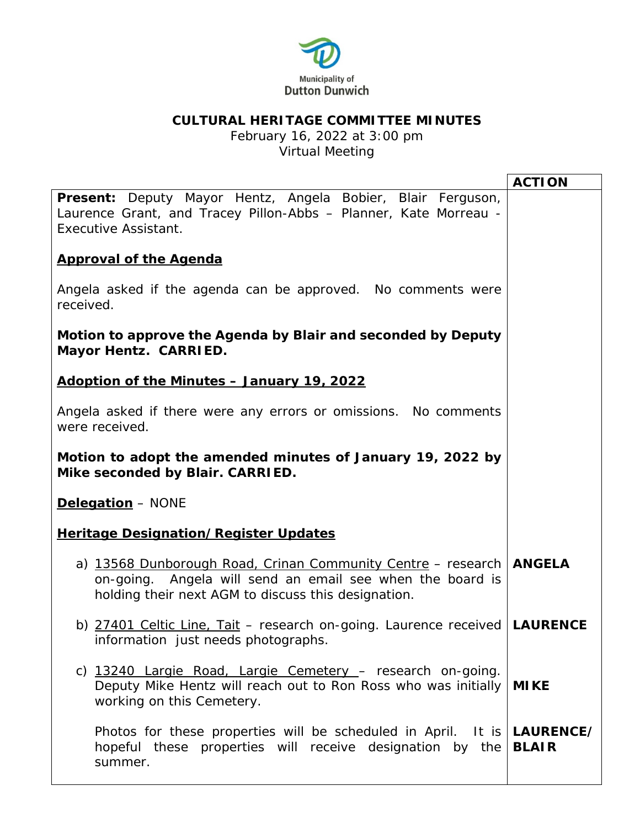

## **CULTURAL HERITAGE COMMITTEE MINUTES**

February 16, 2022 at 3:00 pm Virtual Meeting

|                                                                                                                                                                                           | <b>ACTION</b> |
|-------------------------------------------------------------------------------------------------------------------------------------------------------------------------------------------|---------------|
| Present: Deputy Mayor Hentz, Angela Bobier, Blair Ferguson,<br>Laurence Grant, and Tracey Pillon-Abbs - Planner, Kate Morreau -<br><b>Executive Assistant.</b>                            |               |
| <b>Approval of the Agenda</b>                                                                                                                                                             |               |
| Angela asked if the agenda can be approved. No comments were<br>received.                                                                                                                 |               |
| Motion to approve the Agenda by Blair and seconded by Deputy<br>Mayor Hentz. CARRIED.                                                                                                     |               |
| Adoption of the Minutes - January 19, 2022                                                                                                                                                |               |
| Angela asked if there were any errors or omissions. No comments<br>were received.                                                                                                         |               |
| Motion to adopt the amended minutes of January 19, 2022 by<br>Mike seconded by Blair. CARRIED.                                                                                            |               |
| Delegation - NONE                                                                                                                                                                         |               |
| <b>Heritage Designation/Register Updates</b>                                                                                                                                              |               |
| a) 13568 Dunborough Road, Crinan Community Centre - research   ANGELA<br>on-going. Angela will send an email see when the board is<br>holding their next AGM to discuss this designation. |               |
| b) 27401 Celtic Line, Tait - research on-going. Laurence received   LAURENCE<br>information just needs photographs.                                                                       |               |
| c) 13240 Largie Road, Largie Cemetery - research on-going.<br>Deputy Mike Hentz will reach out to Ron Ross who was initially   MIKE<br>working on this Cemetery.                          |               |
| Photos for these properties will be scheduled in April. It is   LAURENCE/<br>hopeful these properties will receive designation by the <b>BLAIR</b><br>summer.                             |               |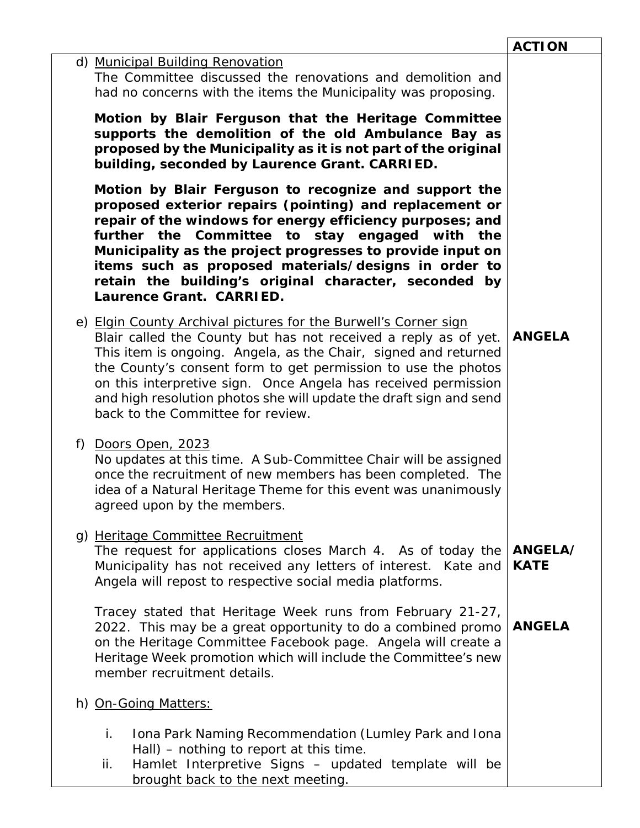|    |                                                                                                                                                                                                                                                                                                                                                                                                                                                     | <b>ACTION</b>          |
|----|-----------------------------------------------------------------------------------------------------------------------------------------------------------------------------------------------------------------------------------------------------------------------------------------------------------------------------------------------------------------------------------------------------------------------------------------------------|------------------------|
|    | d) Municipal Building Renovation<br>The Committee discussed the renovations and demolition and<br>had no concerns with the items the Municipality was proposing.                                                                                                                                                                                                                                                                                    |                        |
|    | Motion by Blair Ferguson that the Heritage Committee<br>supports the demolition of the old Ambulance Bay as<br>proposed by the Municipality as it is not part of the original<br>building, seconded by Laurence Grant. CARRIED.                                                                                                                                                                                                                     |                        |
|    | Motion by Blair Ferguson to recognize and support the<br>proposed exterior repairs (pointing) and replacement or<br>repair of the windows for energy efficiency purposes; and<br>further the Committee to stay engaged with the<br>Municipality as the project progresses to provide input on<br>items such as proposed materials/designs in order to<br>retain the building's original character, seconded by<br>Laurence Grant. CARRIED.          |                        |
|    | e) Elgin County Archival pictures for the Burwell's Corner sign<br>Blair called the County but has not received a reply as of yet.<br>This item is ongoing. Angela, as the Chair, signed and returned<br>the County's consent form to get permission to use the photos<br>on this interpretive sign. Once Angela has received permission<br>and high resolution photos she will update the draft sign and send<br>back to the Committee for review. | <b>ANGELA</b>          |
| f) | Doors Open, 2023<br>No updates at this time. A Sub-Committee Chair will be assigned<br>once the recruitment of new members has been completed. The<br>idea of a Natural Heritage Theme for this event was unanimously<br>agreed upon by the members.                                                                                                                                                                                                |                        |
|    | g) Heritage Committee Recruitment<br>The request for applications closes March 4. As of today the<br>Municipality has not received any letters of interest. Kate and<br>Angela will repost to respective social media platforms.                                                                                                                                                                                                                    | ANGELA/<br><b>KATE</b> |
|    | Tracey stated that Heritage Week runs from February 21-27,<br>2022. This may be a great opportunity to do a combined promo<br>on the Heritage Committee Facebook page. Angela will create a<br>Heritage Week promotion which will include the Committee's new<br>member recruitment details.                                                                                                                                                        | <b>ANGELA</b>          |
|    | h) On-Going Matters:                                                                                                                                                                                                                                                                                                                                                                                                                                |                        |
|    | i.<br>Iona Park Naming Recommendation (Lumley Park and Iona<br>Hall) – nothing to report at this time.<br>Hamlet Interpretive Signs - updated template will be<br>ii.<br>brought back to the next meeting.                                                                                                                                                                                                                                          |                        |